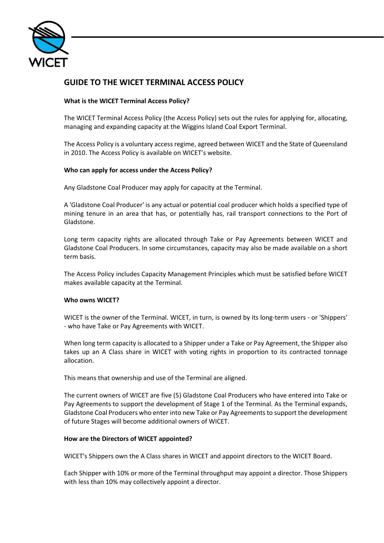

# **GUIDE TO THE WICET TERMINAL ACCESS POLICY**

## **What is the WICET Terminal Access Policy?**

The WICET Terminal Access Policy (the Access Policy) sets out the rules for applying for, allocating, managing and expanding capacity at the Wiggins Island Coal Export Terminal.

The Access Policy is a voluntary access regime, agreed between WICET and the State of Queensland in 2010. The Access Policy is available on WICET's website.

## **Who can apply for access under the Access Policy?**

Any Gladstone Coal Producer may apply for capacity at the Terminal.

A 'Gladstone Coal Producer' is any actual or potential coal producer which holds a specified type of mining tenure in an area that has, or potentially has, rail transport connections to the Port of Gladstone.

Long term capacity rights are allocated through Take or Pay Agreements between WICET and Gladstone Coal Producers. In some circumstances, capacity may also be made available on a short term basis.

The Access Policy includes Capacity Management Principles which must be satisfied before WICET makes available capacity at the Terminal.

## **Who owns WICET?**

WICET is the owner of the Terminal. WICET, in turn, is owned by its long-term users - or 'Shippers' - who have Take or Pay Agreements with WICET.

When long term capacity is allocated to a Shipper under a Take or Pay Agreement, the Shipper also takes up an A Class share in WICET with voting rights in proportion to its contracted tonnage allocation.

This means that ownership and use of the Terminal are aligned.

The current owners of WICET are five (5) Gladstone Coal Producers who have entered into Take or Pay Agreements to support the development of Stage 1 of the Terminal. As the Terminal expands, Gladstone Coal Producers who enter into new Take or Pay Agreements to support the development of future Stages will become additional owners of WICET.

## **How are the Directors of WICET appointed?**

WICET's Shippers own the A Class shares in WICET and appoint directors to the WICET Board.

Each Shipper with 10% or more of the Terminal throughput may appoint a director. Those Shippers with less than 10% may collectively appoint a director.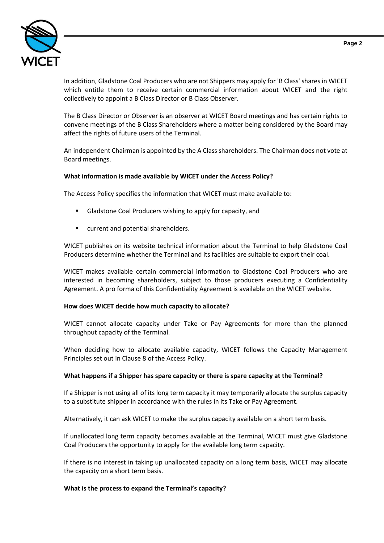

In addition, Gladstone Coal Producers who are not Shippers may apply for 'B Class' shares in WICET which entitle them to receive certain commercial information about WICET and the right collectively to appoint a B Class Director or B Class Observer.

The B Class Director or Observer is an observer at WICET Board meetings and has certain rights to convene meetings of the B Class Shareholders where a matter being considered by the Board may affect the rights of future users of the Terminal.

An independent Chairman is appointed by the A Class shareholders. The Chairman does not vote at Board meetings.

## **What information is made available by WICET under the Access Policy?**

The Access Policy specifies the information that WICET must make available to:

- Gladstone Coal Producers wishing to apply for capacity, and
- current and potential shareholders.

WICET publishes on its website technical information about the Terminal to help Gladstone Coal Producers determine whether the Terminal and its facilities are suitable to export their coal.

WICET makes available certain commercial information to Gladstone Coal Producers who are interested in becoming shareholders, subject to those producers executing a Confidentiality Agreement. A pro forma of this Confidentiality Agreement is available on the WICET website.

## **How does WICET decide how much capacity to allocate?**

WICET cannot allocate capacity under Take or Pay Agreements for more than the planned throughput capacity of the Terminal.

When deciding how to allocate available capacity, WICET follows the Capacity Management Principles set out in Clause 8 of the Access Policy.

## **What happens if a Shipper has spare capacity or there is spare capacity at the Terminal?**

If a Shipper is not using all of its long term capacity it may temporarily allocate the surplus capacity to a substitute shipper in accordance with the rules in its Take or Pay Agreement.

Alternatively, it can ask WICET to make the surplus capacity available on a short term basis.

If unallocated long term capacity becomes available at the Terminal, WICET must give Gladstone Coal Producers the opportunity to apply for the available long term capacity.

If there is no interest in taking up unallocated capacity on a long term basis, WICET may allocate the capacity on a short term basis.

## **What is the process to expand the Terminal's capacity?**